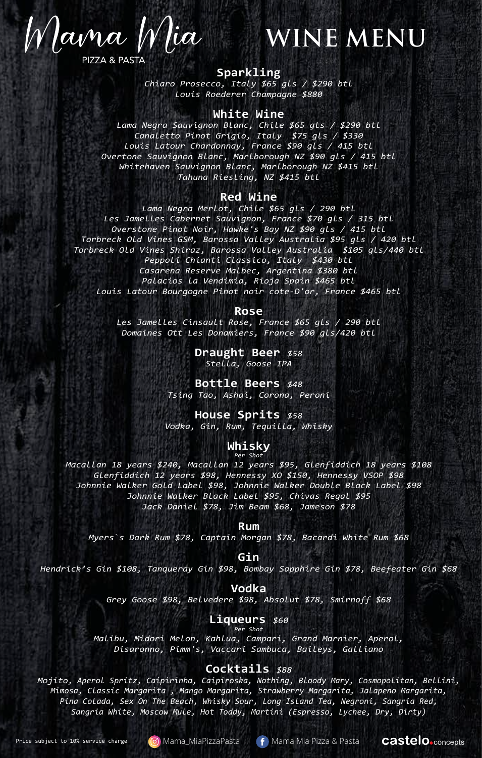Mama Mia **PIZZA & PASTA** 

# **WINE MENU**

#### **Sparkling**

*Chiaro Prosecco, Italy \$65 gls / \$290 btl Louis Roederer Champagne \$880*

#### **White Wine**

*Lama Negra Sauvignon Blanc, Chile \$65 gls / \$290 btl Canaletto Pinot Grigio, Italy \$75 gls / \$330 Louis Latour Chardonnay, France \$90 gls / 415 btl Overtone Sauvignon Blanc, Marlborough NZ \$90 gls / 415 btl Whitehaven Sauvignon Blanc, Marlborough NZ \$415 btl Tahuna Riesling, NZ \$415 btl*

#### **Red Wine**

*Lama Negra Merlot, Chile \$65 gls / 290 btl Les Jamelles Cabernet Sauvignon, France \$70 gls / 315 btl Overstone Pinot Noir, Hawke's Bay NZ \$90 gls / 415 btl Torbreck Old Vines GSM, Barossa Valley Australia \$95 gls / 420 btl Torbreck Old Vines Shiraz, Barossa Valley Australia \$105 gls/440 btl Peppoli Chianti Classico, Italy \$430 btl*

*Casarena Reserve Malbec, Argentina \$380 btl Palacios la Vendimia, Rioja Spain \$465 btl Louis Latour Bourgogne Pinot noir cote-D'or, France \$465 btl*

#### **Rose**

*Les Jamelles Cinsault Rose, France \$65 gls / 290 btl Domaines Ott Les Donamiers, France \$90 gls/420 btl*

> **Draught Beer** *\$58 Stella, Goose IPA*

**Bottle Beers** *\$48 Tsing Tao, Ashai, Corona, Peroni*

**House Sprits** *\$58 Vodka, Gin, Rum, Tequilla, Whisky*

#### **Whisky** *Per Shot*

*Macallan 18 years \$240, Macallan 12 years \$95, Glenfiddich 18 years \$108 Glenfiddich 12 years \$98, Hennessy XO \$150, Hennessy VSOP \$98 Johnnie Walker Gold Label \$98, Johnnie Walker Double Black Label \$98 Johnnie Walker Black Label \$95, Chivas Regal \$95 Jack Daniel \$78, Jim Beam \$68, Jameson \$78*

**Rum**

*Myers`s Dark Rum \$78, Captain Morgan \$78, Bacardi White Rum \$68*

**Gin**

*Hendrick's Gin \$108, Tanqueray Gin \$98, Bombay Sapphire Gin \$78, Beefeater Gin \$68*

**Vodka**

*Grey Goose \$98, Belvedere \$98, Absolut \$78, Smirnoff \$68*

**Liqueurs** \$60

*Malibu, Midori Melon, Kahlua, Campari, Grand Marnier, Aperol, Disaronno, Pimm's, Vaccari Sambuca, Baileys, Galliano*

#### **Cocktails** *\$88*

*Mojito, Aperol Spritz, Caipirinha, Caipiroska, Nothing, Bloody Mary, Cosmopolitan, Bellini, Mimosa, Classic Margarita , Mango Margarita, Strawberry Margarita, Jalapeno Margarita, Pina Colada, Sex On The Beach, Whisky Sour, Long Island Tea, Negroni, Sangria Red, Sangria White, Moscow Mule, Hot Toddy, Martini (Espresso, Lychee, Dry, Dirty)*